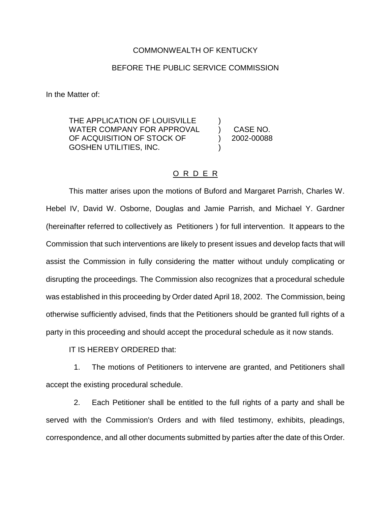## COMMONWEALTH OF KENTUCKY

## BEFORE THE PUBLIC SERVICE COMMISSION

In the Matter of:

THE APPLICATION OF LOUISVILLE WATER COMPANY FOR APPROVAL (CASE NO. OF ACQUISITION OF STOCK OF (2002-00088) GOSHEN UTILITIES, INC. )

## O R D E R

This matter arises upon the motions of Buford and Margaret Parrish, Charles W. Hebel IV, David W. Osborne, Douglas and Jamie Parrish, and Michael Y. Gardner (hereinafter referred to collectively as Petitioners ) for full intervention. It appears to the Commission that such interventions are likely to present issues and develop facts that will assist the Commission in fully considering the matter without unduly complicating or disrupting the proceedings. The Commission also recognizes that a procedural schedule was established in this proceeding by Order dated April 18, 2002. The Commission, being otherwise sufficiently advised, finds that the Petitioners should be granted full rights of a party in this proceeding and should accept the procedural schedule as it now stands.

IT IS HEREBY ORDERED that:

1. The motions of Petitioners to intervene are granted, and Petitioners shall accept the existing procedural schedule.

2. Each Petitioner shall be entitled to the full rights of a party and shall be served with the Commission's Orders and with filed testimony, exhibits, pleadings, correspondence, and all other documents submitted by parties after the date of this Order.